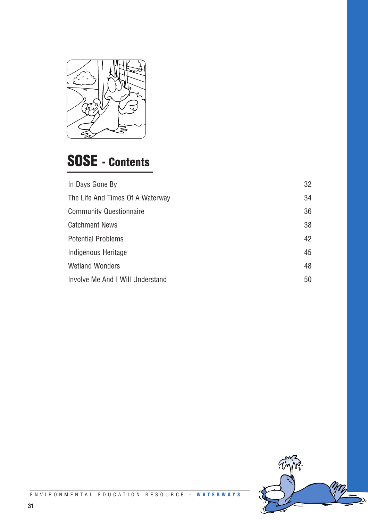

## **SOSE - Contents**

| In Days Gone By                  | 32 |
|----------------------------------|----|
| The Life And Times Of A Waterway | 34 |
| <b>Community Questionnaire</b>   | 36 |
| <b>Catchment News</b>            | 38 |
| <b>Potential Problems</b>        | 42 |
| Indigenous Heritage              | 45 |
| <b>Wetland Wonders</b>           | 48 |
| Involve Me And I Will Understand | 50 |

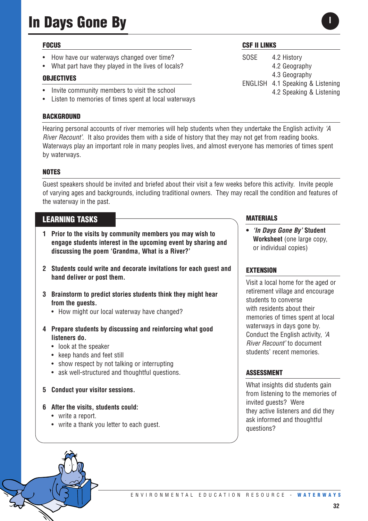## **In Days Gone By**

#### **FOCUS**

- How have our waterways changed over time?
- What part have they played in the lives of locals?

#### **OBJECTIVES**

- Invite community members to visit the school
- Listen to memories of times spent at local waterways

#### **BACKGROUND**

Hearing personal accounts of river memories will help students when they undertake the English activity *'A River Recount'*. It also provides them with a side of history that they may not get from reading books. Waterways play an important role in many peoples lives, and almost everyone has memories of times spent by waterways.

#### **NOTES**

Guest speakers should be invited and briefed about their visit a few weeks before this activity. Invite people of varying ages and backgrounds, including traditional owners. They may recall the condition and features of the waterway in the past.

#### **LEARNING TASKS**

- **1 Prior to the visits by community members you may wish to engage students interest in the upcoming event by sharing and discussing the poem 'Grandma, What is a River?'**
- **2 Students could write and decorate invitations for each guest and hand deliver or post them.**
- **3 Brainstorm to predict stories students think they might hear from the guests.** 
	- How might our local waterway have changed?
- **4 Prepare students by discussing and reinforcing what good listeners do.**
	- look at the speaker
	- keep hands and feet still
	- show respect by not talking or interrupting
	- ask well-structured and thoughtful questions.
- **5 Conduct your visitor sessions.**
- **6 After the visits, students could:**
	- write a report.
	- write a thank you letter to each guest.

#### **CSF II LINKS**

SOSE 4.2 History 4.2 Geography 4.3 Geography ENGLISH 4.1 Speaking & Listening 4.2 Speaking & Listening

#### **MATERIALS**

**•** *'In Days Gone By'* **Student Worksheet** (one large copy, or individual copies)

#### **EXTENSION**

Visit a local home for the aged or retirement village and encourage students to converse with residents about their memories of times spent at local waterways in days gone by. Conduct the English activity, *'A River Recount'* to document students' recent memories.

#### **ASSESSMENT**

What insights did students gain from listening to the memories of invited guests? Were they active listeners and did they ask informed and thoughtful questions?

**I**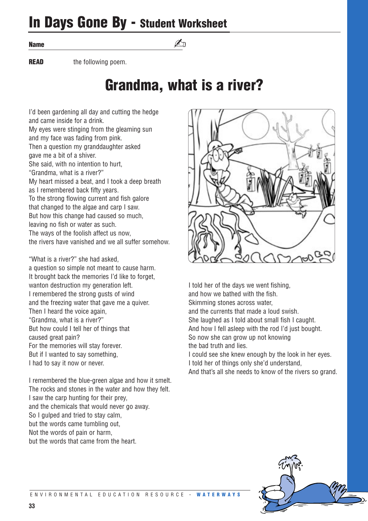## **In Days Gone By - Student Worksheet**

**Name**

**READ** the following poem.

## **Grandma, what is a river?**

 $\n *A*$ 

I'd been gardening all day and cutting the hedge and came inside for a drink. My eyes were stinging from the gleaming sun and my face was fading from pink. Then a question my granddaughter asked gave me a bit of a shiver. She said, with no intention to hurt, "Grandma, what is a river?" My heart missed a beat, and I took a deep breath as I remembered back fifty years. To the strong flowing current and fish galore that changed to the algae and carp I saw. But how this change had caused so much, leaving no fish or water as such. The ways of the foolish affect us now, the rivers have vanished and we all suffer somehow.

"What is a river?" she had asked, a question so simple not meant to cause harm. It brought back the memories I'd like to forget, wanton destruction my generation left. I remembered the strong gusts of wind and the freezing water that gave me a quiver. Then I heard the voice again, "Grandma, what is a river?" But how could I tell her of things that caused great pain? For the memories will stay forever. But if I wanted to say something, I had to say it now or never.

I remembered the blue-green algae and how it smelt. The rocks and stones in the water and how they felt. I saw the carp hunting for their prey, and the chemicals that would never go away. So I gulped and tried to stay calm, but the words came tumbling out, Not the words of pain or harm, but the words that came from the heart.



I told her of the days we went fishing, and how we bathed with the fish. Skimming stones across water, and the currents that made a loud swish. She laughed as I told about small fish I caught. And how I fell asleep with the rod I'd just bought. So now she can grow up not knowing the bad truth and lies. I could see she knew enough by the look in her eyes. I told her of things only she'd understand,

And that's all she needs to know of the rivers so grand.

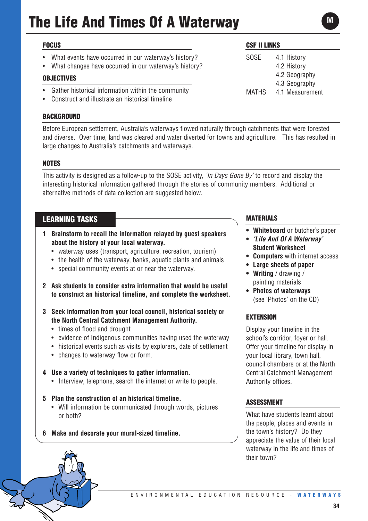## **The Life And Times Of A Waterway**

#### **FOCUS**

- What events have occurred in our waterway's history?
- What changes have occurred in our waterway's history?

#### **OBJECTIVES**

- Gather historical information within the community
- Construct and illustrate an historical timeline

#### **BACKGROUND**

Before European settlement, Australia's waterways flowed naturally through catchments that were forested and diverse. Over time, land was cleared and water diverted for towns and agriculture. This has resulted in large changes to Australia's catchments and waterways.

#### **NOTES**

This activity is designed as a follow-up to the SOSE activity, *'In Days Gone By'* to record and display the interesting historical information gathered through the stories of community members. Additional or alternative methods of data collection are suggested below.

#### **LEARNING TASKS**

- **1 Brainstorm to recall the information relayed by guest speakers about the history of your local waterway.** 
	- waterway uses (transport, agriculture, recreation, tourism)
	- the health of the waterway, banks, aquatic plants and animals
	- special community events at or near the waterway.
- **2 Ask students to consider extra information that would be useful to construct an historical timeline, and complete the worksheet.**
- **3 Seek information from your local council, historical society or the North Central Catchment Management Authority.** 
	- times of flood and drought
	- evidence of Indigenous communities having used the waterway
	- historical events such as visits by explorers, date of settlement
	- changes to waterway flow or form.

#### **4 Use a variety of techniques to gather information.**

- Interview, telephone, search the internet or write to people.
- **5 Plan the construction of an historical timeline.** 
	- Will information be communicated through words, pictures or both?
- **6 Make and decorate your mural-sized timeline.**

#### **CSF II LINKS**

SOSE 4.1 History 4.2 History 4.2 Geography 4.3 Geography MATHS 4.1 Measurement

#### **MATERIALS**

- **• Whiteboard** or butcher's paper
- **•** *'Life And Of A Waterway'* **Student Worksheet**
- **• Computers** with internet access
- **• Large sheets of paper**
- **Writing** / drawing / painting materials
- **• Photos of waterways**  (see 'Photos' on the CD)

#### **EXTENSION**

Display your timeline in the school's corridor, foyer or hall. Offer your timeline for display in your local library, town hall, council chambers or at the North Central Catchment Management Authority offices.

#### **ASSESSMENT**

What have students learnt about the people, places and events in the town's history? Do they appreciate the value of their local waterway in the life and times of their town?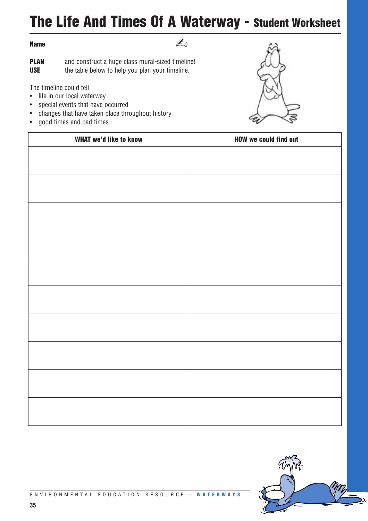## **The Life And Times Of A Waterway - Student Worksheet**

#### **Name**

✍

**PLAN** and construct a huge class mural-sized timeline! **USE** the table below to help you plan your timeline.

The timeline could tell

- life in our local waterway
- special events that have occurred
- changes that have taken place throughout history
- good times and bad times.



| <b>WHAT we'd like to know</b> | <b>HOW we could find out</b> |
|-------------------------------|------------------------------|
|                               |                              |
|                               |                              |
|                               |                              |
|                               |                              |
|                               |                              |
|                               |                              |
|                               |                              |
|                               |                              |
|                               |                              |
|                               |                              |
|                               |                              |
|                               |                              |
|                               |                              |
|                               |                              |
|                               |                              |
|                               |                              |
|                               |                              |
|                               |                              |
|                               |                              |
|                               |                              |
|                               |                              |

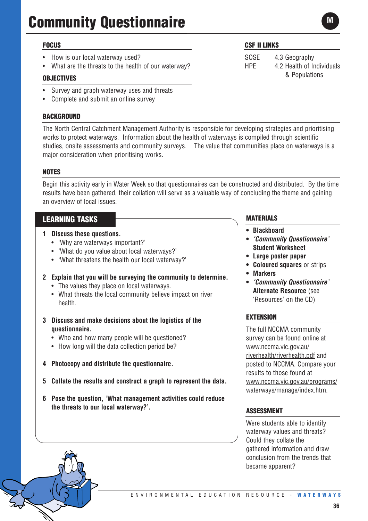## **Community Questionnaire**

#### **FOCUS**

- How is our local waterway used?
- What are the threats to the health of our waterway?

#### **OBJECTIVES**

- Survey and graph waterway uses and threats
- Complete and submit an online survey

#### **BACKGROUND**

The North Central Catchment Management Authority is responsible for developing strategies and prioritising works to protect waterways. Information about the health of waterways is compiled through scientific studies, onsite assessments and community surveys. The value that communities place on waterways is a major consideration when prioritising works.

#### **NOTES**

Begin this activity early in Water Week so that questionnaires can be constructed and distributed. By the time results have been gathered, their collation will serve as a valuable way of concluding the theme and gaining an overview of local issues.

#### **LEARNING TASKS**

- **1 Discuss these questions.** 
	- 'Why are waterways important?'
	- 'What do you value about local waterways?'
	- 'What threatens the health our local waterway?'
- **2 Explain that you will be surveying the community to determine.**
	- The values they place on local waterways.
	- What threats the local community believe impact on river health.
- **3 Discuss and make decisions about the logistics of the questionnaire.**
	- Who and how many people will be questioned?
	- How long will the data collection period be?
- **4 Photocopy and distribute the questionnaire.**
- **5 Collate the results and construct a graph to represent the data.**
- **6 Pose the question, 'What management activities could reduce the threats to our local waterway?'.**

#### **CSF II LINKS**

SOSE 4.3 Geography HPE 4.2 Health of Individuals & Populations

#### **MATERIALS**

- **• Blackboard**
- **•** *'Community Questionnaire'*  **Student Worksheet**
- **• Large poster paper**
- **• Coloured squares** or strips
- **• Markers**
- **•** *'Community Questionnaire'* **Alternate Resource** (see 'Resources' on the CD)

#### **EXTENSION**

The full NCCMA community survey can be found online at www.nccma.vic.gov.au/ riverhealth/riverhealth.pdf and posted to NCCMA. Compare your results to those found at www.nccma.vic.gov.au/programs/ waterways/manage/index.htm.

#### **ASSESSMENT**

Were students able to identify waterway values and threats? Could they collate the gathered information and draw conclusion from the trends that became apparent?

**M**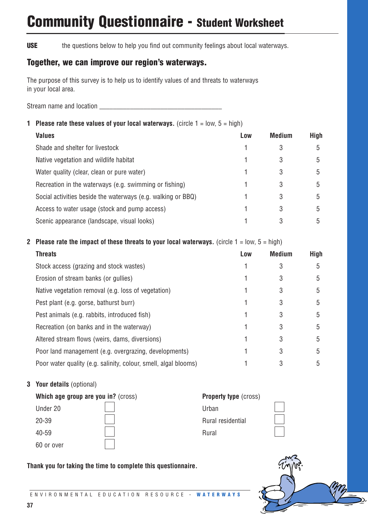## **Community Questionnaire - Student Worksheet**

**USE** the questions below to help you find out community feelings about local waterways.

#### **Together, we can improve our region's waterways.**

The purpose of this survey is to help us to identify values of and threats to waterways in your local area.

Stream name and location **EXECUTE:** The stream name and location

#### **1 Please rate these values of your local waterways.** (circle  $1 = \text{low}, 5 = \text{high}$ )

| <b>Values</b>                                                | Low | <b>Medium</b> | <b>High</b> |
|--------------------------------------------------------------|-----|---------------|-------------|
| Shade and shelter for livestock                              |     | 3             | 5           |
| Native vegetation and wildlife habitat                       |     | 3             | 5           |
| Water quality (clear, clean or pure water)                   |     | 3             | 5           |
| Recreation in the waterways (e.g. swimming or fishing)       |     | 3             | 5           |
| Social activities beside the waterways (e.g. walking or BBQ) |     | 3             | 5           |
| Access to water usage (stock and pump access)                |     | 3             | 5           |
| Scenic appearance (landscape, visual looks)                  |     |               | 5           |

#### **2 Please rate the impact of these threats to your local waterways.** (circle  $1 = \text{low}, 5 = \text{high}$ )

| <b>Threats</b>                                                  | Low | <b>Medium</b> | <b>High</b> |
|-----------------------------------------------------------------|-----|---------------|-------------|
| Stock access (grazing and stock wastes)                         |     |               | 5           |
| Erosion of stream banks (or gullies)                            |     | 3             | 5           |
| Native vegetation removal (e.g. loss of vegetation)             |     | 3             | 5           |
| Pest plant (e.g. gorse, bathurst burr)                          |     | 3             | 5           |
| Pest animals (e.g. rabbits, introduced fish)                    |     | 3             | 5           |
| Recreation (on banks and in the waterway)                       |     | 3             | 5           |
| Altered stream flows (weirs, dams, diversions)                  |     | 3             | 5           |
| Poor land management (e.g. overgrazing, developments)           |     | 3             | 5           |
| Poor water quality (e.g. salinity, colour, smell, algal blooms) |     | 3             | 5           |

#### **3 Your details** (optional)

| Which age group are you in? (cross) | <b>Property type (cross)</b> |
|-------------------------------------|------------------------------|
| Under 20                            | Urban                        |
| 20-39                               | Rural residential            |
| 40-59                               | Rural                        |
| 60 or over                          |                              |



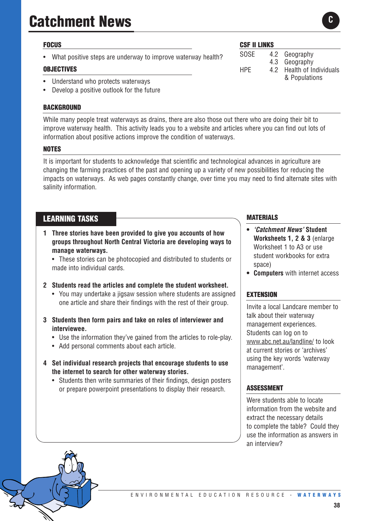## **Catchment News**

#### **FOCUS**

What positive steps are underway to improve waterway health?

#### **OBJECTIVES**

- Understand who protects waterways
- Develop a positive outlook for the future

#### **BACKGROUND**

While many people treat waterways as drains, there are also those out there who are doing their bit to improve waterway health. This activity leads you to a website and articles where you can find out lots of information about positive actions improve the condition of waterways.

#### **NOTES**

It is important for students to acknowledge that scientific and technological advances in agriculture are changing the farming practices of the past and opening up a variety of new possibilities for reducing the impacts on waterways. As web pages constantly change, over time you may need to find alternate sites with salinity information.

#### **LEARNING TASKS**

- **1 Three stories have been provided to give you accounts of how groups throughout North Central Victoria are developing ways to manage waterways.** 
	- These stories can be photocopied and distributed to students or made into individual cards.

#### **2 Students read the articles and complete the student worksheet.**

- You may undertake a jigsaw session where students are assigned one article and share their findings with the rest of their group.
- **3 Students then form pairs and take on roles of interviewer and interviewee.** 
	- Use the information they've gained from the articles to role-play.
	- Add personal comments about each article.
- **4 Set individual research projects that encourage students to use the internet to search for other waterway stories.** 
	- Students then write summaries of their findings, design posters or prepare powerpoint presentations to display their research.

#### **CSF II LINKS**

SOSE 4.2 Geography 4.3 Geography HPE 4.2 Health of Individuals & Populations

#### **MATERIALS**

- **•** *'Catchment News'* **Student Worksheets 1, 2 & 3** (enlarge Worksheet 1 to A3 or use student workbooks for extra space)
- **• Computers** with internet access

#### **EXTENSION**

Invite a local Landcare member to talk about their waterway management experiences. Students can log on to www.abc.net.au/landline/ to look at current stories or 'archives' using the key words 'waterway management'.

#### **ASSESSMENT**

Were students able to locate information from the website and extract the necessary details to complete the table? Could they use the information as answers in an interview?

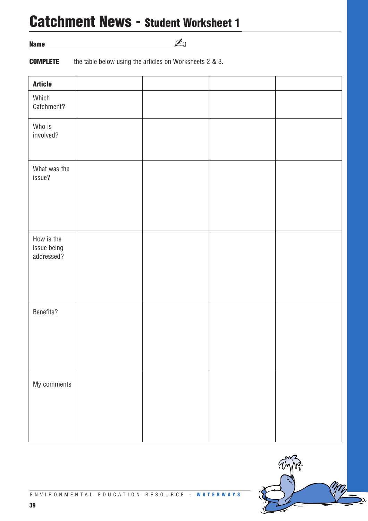## **Catchment News - Student Worksheet 1**

**Name**

✍

**COMPLETE** the table below using the articles on Worksheets 2 & 3.

| <b>Article</b>                          |  |  |
|-----------------------------------------|--|--|
| Which<br>Catchment?                     |  |  |
| Who is<br>involved?                     |  |  |
| What was the<br>issue?                  |  |  |
| How is the<br>issue being<br>addressed? |  |  |
| Benefits?                               |  |  |
| My comments                             |  |  |

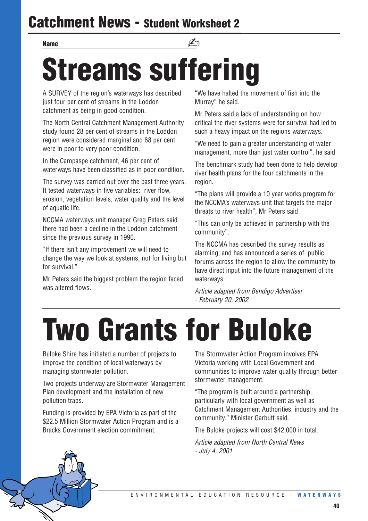## **Catchment News - Student Worksheet 2**

## **Streams suffering Name** and the set of the set of the set of the set of the set of the set of the set of the set of the set of the set of the set of the set of the set of the set of the set of the set of the set of the set of the set of th

A SURVEY of the region's waterways has described just four per cent of streams in the Loddon catchment as being in good condition.

The North Central Catchment Management Authority study found 28 per cent of streams in the Loddon region were considered marginal and 68 per cent were in poor to very poor condition.

In the Campaspe catchment, 46 per cent of waterways have been classified as in poor condition.

The survey was carried out over the past three years. It tested waterways in five variables: river flow, erosion, vegetation levels, water quality and the level of aquatic life.

NCCMA waterways unit manager Greg Peters said there had been a decline in the Loddon catchment since the previous survey in 1990.

"If there isn't any improvement we will need to change the way we look at systems, not for living but for survival."

Mr Peters said the biggest problem the region faced was altered flows.

"We have halted the movement of fish into the Murray" he said.

Mr Peters said a lack of understanding on how critical the river systems were for survival had led to such a heavy impact on the regions waterways.

"We need to gain a greater understanding of water management, more than just water control", he said

The benchmark study had been done to help develop river health plans for the four catchments in the region.

"The plans will provide a 10 year works program for the NCCMA's waterways unit that targets the major threats to river health", Mr Peters said

"This can only be achieved in partnership with the community".

The NCCMA has described the survey results as alarming, and has announced a series of public forums across the region to allow the community to have direct input into the future management of the waterways.

*Article adapted from Bendigo Advertiser - February 20, 2002*

## **Two Grants for Buloke**

Buloke Shire has initiated a number of projects to improve the condition of local waterways by managing stormwater pollution.

Two projects underway are Stormwater Management Plan development and the installation of new pollution traps.

Funding is provided by EPA Victoria as part of the \$22.5 Million Stormwater Action Program and is a Bracks Government election commitment.

The Stormwater Action Program involves EPA Victoria working with Local Government and communities to improve water quality through better stormwater management.

"The program is built around a partnership, particularly with local government as well as Catchment Management Authorities, industry and the community." Minister Garbutt said.

The Buloke projects will cost \$42,000 in total.

*Article adapted from North Central News - July 4, 2001*

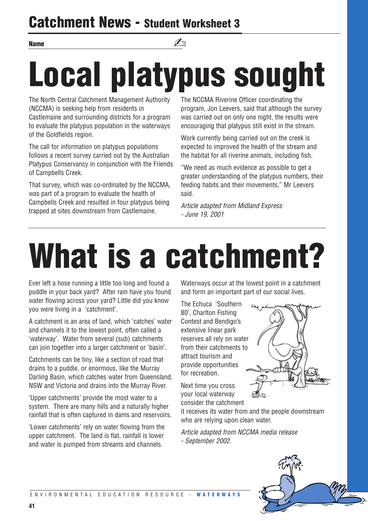## **Catchment News - Student Worksheet 3**

### **Name** and the set of the set of the set of the set of the set of the set of the set of the set of the set of the set of the set of the set of the set of the set of the set of the set of the set of the set of the set of th

# **Local platypus sought**

The North Central Catchment Management Authority (NCCMA) is seeking help from residents in Castlemaine and surrounding districts for a program to evaluate the platypus population in the waterways of the Goldfields region.

The call for information on platypus populations follows a recent survey carried out by the Australian Platypus Conservancy in conjunction with the Friends of Campbells Creek.

That survey, which was co-ordinated by the NCCMA, was part of a program to evaluate the health of Campbells Creek and resulted in four platypus being trapped at sites downstream from Castlemaine.

The NCCMA Riverine Officer coordinating the program, Jon Leevers, said that although the survey was carried out on only one night, the results were encouraging that platypus still exist in the stream.

Work currently being carried out on the creek is expected to improved the health of the stream and the habitat for all riverine animals, including fish.

"We need as much evidence as possible to get a greater understanding of the platypus numbers, their feeding habits and their movements," Mr Leevers said.

*Article adapted from Midland Express - June 19, 2001*

## **What is a catchment?**

Ever left a hose running a little too long and found a puddle in your back yard? After rain have you found water flowing across your yard? Little did you know you were living in a 'catchment'.

A catchment is an area of land, which 'catches' water and channels it to the lowest point, often called a 'waterway'. Water from several (sub) catchments can join together into a larger catchment or 'basin'.

Catchments can be tiny, like a section of road that drains to a puddle, or enormous, like the Murray Darling Basin, which catches water from Queensland, NSW and Victoria and drains into the Murray River.

'Upper catchments' provide the most water to a system. There are many hills and a naturally higher rainfall that is often captured in dams and reservoirs.

'Lower catchments' rely on water flowing from the upper catchment. The land is flat, rainfall is lower and water is pumped from streams and channels.

Waterways occur at the lowest point in a catchment and form an important part of our social lives.

The Echuca 'Southern 80', Charlton Fishing Contest and Bendigo's extensive linear park reserves all rely on water from their catchments to attract tourism and provide opportunities for recreation.



Next time you cross your local waterway consider the catchment

it receives its water from and the people downstream who are relying upon clean water.

*Article adapted from NCCMA media release - September 2002.*

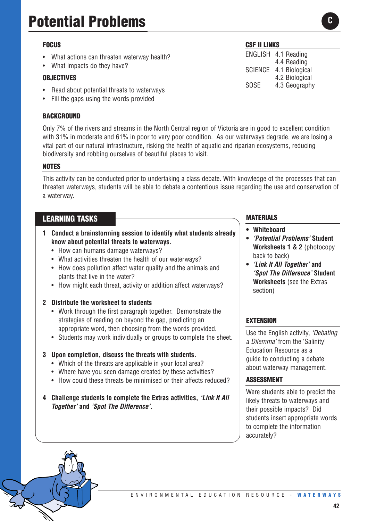## **Potential Problems**

#### **FOCUS**

- What actions can threaten waterway health?
- What impacts do they have?

#### **OBJECTIVES**

- Read about potential threats to waterways
- Fill the gaps using the words provided

#### **BACKGROUND**

Only 7% of the rivers and streams in the North Central region of Victoria are in good to excellent condition with 31% in moderate and 61% in poor to very poor condition. As our waterways degrade, we are losing a vital part of our natural infrastructure, risking the health of aquatic and riparian ecosystems, reducing biodiversity and robbing ourselves of beautiful places to visit.

#### **NOTES**

This activity can be conducted prior to undertaking a class debate. With knowledge of the processes that can threaten waterways, students will be able to debate a contentious issue regarding the use and conservation of a waterway.

#### **LEARNING TASKS**

- **1 Conduct a brainstorming session to identify what students already know about potential threats to waterways.** 
	- How can humans damage waterways?
	- What activities threaten the health of our waterways?
	- How does pollution affect water quality and the animals and plants that live in the water?
	- How might each threat, activity or addition affect waterways?

#### **2 Distribute the worksheet to students**

- Work through the first paragraph together. Demonstrate the strategies of reading on beyond the gap, predicting an appropriate word, then choosing from the words provided.
- Students may work individually or groups to complete the sheet.

#### **3 Upon completion, discuss the threats with students.**

- Which of the threats are applicable in your local area?
- Where have you seen damage created by these activities?
- How could these threats be minimised or their affects reduced?
- **4 Challenge students to complete the Extras activities,** *'Link It All Together'* **and** *'Spot The Difference'***.**

#### **CSF II LINKS**

ENGLISH 4.1 Reading 4.4 Reading SCIENCE 4.1 Biological 4.2 Biological SOSE 4.3 Geography

**MATERIALS**

- **• Whiteboard**
- **•** *'Potential Problems'* **Student Worksheets 1 & 2** (photocopy back to back)
- **•** *'Link It All Together'* **and**  *'Spot The Difference'* **Student Worksheets** (see the Extras section)

#### **EXTENSION**

Use the English activity, *'Debating a Dilemma'* from the 'Salinity' Education Resource as a guide to conducting a debate about waterway management.

#### **ASSESSMENT**

Were students able to predict the likely threats to waterways and their possible impacts? Did students insert appropriate words to complete the information accurately?

#### **42**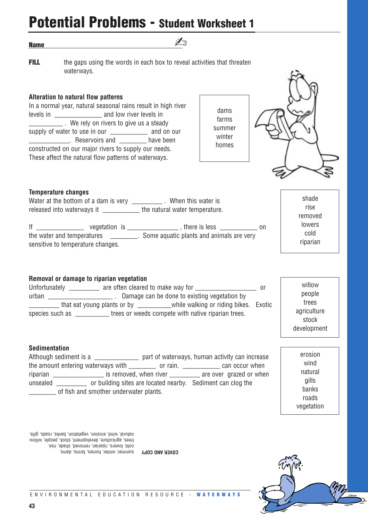**Name**

- 
- **FILL** the gaps using the words in each box to reveal activities that threaten waterways.

 $\n *A*$ 

#### **Alteration to natural flow patterns**

In a normal year, natural seasonal rains result in high river levels in \_\_\_\_\_\_\_\_\_\_\_\_\_\_ and low river levels in \_\_\_\_\_\_\_\_\_\_ . We rely on rivers to give us a steady supply of water to use in our \_\_\_\_\_\_\_\_\_\_\_\_\_\_ and on our **EXECUTE:** Reservoirs and **DEFINITY** have been constructed on our major rivers to supply our needs. These affect the natural flow patterns of waterways.





shade rise removed lowers cold riparian

#### **Temperature changes**

Water at the bottom of a dam is very \_\_\_\_\_\_\_\_\_\_\_\_\_. When this water is released into waterways it \_\_\_\_\_\_\_\_\_\_\_\_\_ the natural water temperature.

If  $\frac{1}{\sqrt{1-\frac{1}{2}}}\sqrt{1-\frac{1}{2}}$  vegetation is  $\frac{1}{\sqrt{1-\frac{1}{2}}}\sqrt{1-\frac{1}{2}}$ , there is less  $\frac{1}{\sqrt{1-\frac{1}{2}}}\sqrt{1-\frac{1}{2}}$ the water and temperatures entity in Some aquatic plants and animals are very sensitive to temperature changes.

#### **Removal or damage to riparian vegetation**

Unfortunately \_\_\_\_\_\_\_\_\_ are often cleared to make way for \_\_\_\_\_\_\_\_\_\_\_\_\_\_\_\_\_\_\_\_\_ or urban \_\_\_\_\_\_\_\_\_\_\_\_\_\_\_\_\_\_\_ . Damage can be done to existing vegetation by that eat young plants or by \_\_\_\_\_\_\_\_\_\_\_\_while walking or riding bikes. Exotic species such as \_\_\_\_\_\_\_\_\_\_\_ trees or weeds compete with native riparian trees.

#### **Sedimentation**

Although sediment is a \_\_\_\_\_\_\_\_\_\_\_\_\_\_\_ part of waterways, human activity can increase the amount entering waterways with \_\_\_\_\_\_\_\_\_ or rain. \_\_\_\_\_\_\_\_\_\_\_\_\_ can occur when riparian **EXEC is removed, when river** are over grazed or when unsealed \_\_\_\_\_\_\_\_\_ or building sites are located nearby. Sediment can clog the of fish and smother underwater plants.

development erosion wind natural gills banks roads

vegetation

willow people trees agriculture stock

**COVER AND COPY** Summer, winter, nomes, tarms, dams. cold, lowers, riparian, removed, shade, rise. trees, agriculture, development, stock, people, willow. natural, wind, erosion, vegetation, banks, roads, gills.

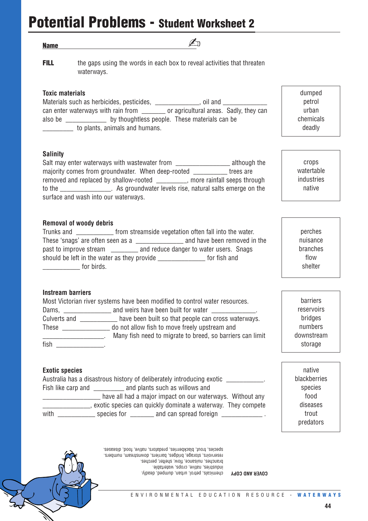## **Potential Problems - Student Worksheet 2**

#### **Name**

- 
- 
- **FILL** the gaps using the words in each box to reveal activities that threaten waterways.

 $\mathbb{Z}_p$ 

#### **Toxic materials**

Materials such as herbicides, pesticides, \_\_\_\_\_\_\_\_\_\_\_\_, oil and \_\_\_\_\_\_\_\_\_ can enter waterways with rain from \_\_\_\_\_\_\_ or agricultural areas. Sadly, they can also be by thoughtless people. These materials can be \_\_\_\_\_\_\_\_\_ to plants, animals and humans.

#### **Salinity**

Salt may enter waterways with wastewater from \_\_\_\_\_\_\_\_\_\_\_\_\_\_\_\_\_\_\_\_\_\_ although the majority comes from groundwater. When deep-rooted \_\_\_\_\_\_\_\_\_\_\_ trees are removed and replaced by shallow-rooted \_\_\_\_\_\_\_\_\_, more rainfall seeps through to the \_\_\_\_\_\_\_\_\_\_\_\_\_\_\_. As groundwater levels rise, natural salts emerge on the surface and wash into our waterways.

#### **Removal of woody debris**

Trunks and \_\_\_\_\_\_\_\_\_\_\_ from streamside vegetation often fall into the water. These 'snags' are often seen as a \_\_\_\_\_\_\_\_\_\_\_\_\_\_ and have been removed in the past to improve stream and reduce danger to water users. Snags should be left in the water as they provide \_\_\_\_\_\_\_\_\_\_\_\_\_\_ for fish and denotes the for birds.

#### **Instream barriers**

|                     | Most Victorian river systems have been modified to control water resources.                                |
|---------------------|------------------------------------------------------------------------------------------------------------|
| Dams, $\frac{1}{2}$ | and weirs have been built for water _____________.                                                         |
| Culverts and        | have been built so that people can cross waterways.                                                        |
| These               | do not allow fish to move freely upstream and<br>Many fish need to migrate to breed, so barriers can limit |
| fish                |                                                                                                            |

**Exotic species**

Australia has a disastrous history of deliberately introducing exotic \_\_\_\_\_\_\_\_\_\_\_. Fish like carp and \_\_\_\_\_\_\_\_\_\_\_ and plants such as willows and

have all had a major impact on our waterways. Without any \_\_\_\_\_\_\_\_\_\_\_\_\_\_, exotic species can quickly dominate a waterway. They compete with  $\frac{1}{\frac{1}{\sqrt{1-\frac{1}{\sqrt{1-\frac{1}{\sqrt{1-\frac{1}{\sqrt{1-\frac{1}{\sqrt{1-\frac{1}{\sqrt{1-\frac{1}{\sqrt{1-\frac{1}{\sqrt{1-\frac{1}{\sqrt{1-\frac{1}{\sqrt{1-\frac{1}{\sqrt{1-\frac{1}{\sqrt{1-\frac{1}{\sqrt{1-\frac{1}{\sqrt{1-\frac{1}{\sqrt{1-\frac{1}{\sqrt{1-\frac{1}{\sqrt{1-\frac{1}{\sqrt{1-\frac{1}{\sqrt{1-\frac{1}{\sqrt{1-\frac{1}{\sqrt{1-\frac{1}{\sqrt{1-\frac{1}{\sqrt{1-\frac{$  chemicals deadly

dumped petrol urban

crops watertable industries native

perches nuisance branches flow shelter

barriers reservoirs bridges numbers downstream storage

native blackberries species food diseases trout predators

chemicals, petrol, urban, dumped, deadly. **COVER AND COPY** industries, native, crops, watertable. branches, nuisance, flow, shelter, perches. reservoirs, storage, bridges, barriers, downstream, numbers. species, trout, blackberries, predators, native, food, diseases.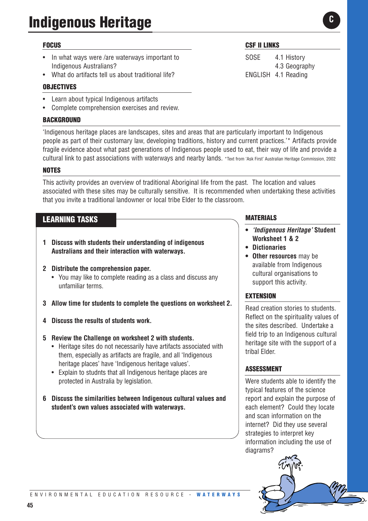#### **FOCUS**

- In what ways were /are waterways important to Indigenous Australians?
- What do artifacts tell us about traditional life?

#### **OBJECTIVES**

- Learn about typical Indigenous artifacts
- Complete comprehension exercises and review.

#### **BACKGROUND**

'Indigenous heritage places are landscapes, sites and areas that are particularly important to Indigenous people as part of their customary law, developing traditions, history and current practices.'\* Artifacts provide fragile evidence about what past generations of Indigenous people used to eat, their way of life and provide a cultural link to past associations with waterways and nearby lands. \*Text from 'Ask First' Australian Heritage Commission, 2002

#### **NOTES**

This activity provides an overview of traditional Aboriginal life from the past. The location and values associated with these sites may be culturally sensitive. It is recommended when undertaking these activities that you invite a traditional landowner or local tribe Elder to the classroom.

#### **LEARNING TASKS**

- **1 Discuss with students their understanding of indigenous Australians and their interaction with waterways.**
- **2 Distribute the comprehension paper.** 
	- You may like to complete reading as a class and discuss any unfamiliar terms.
- **3 Allow time for students to complete the questions on worksheet 2.**
- **4 Discuss the results of students work.**
- **5 Review the Challenge on worksheet 2 with students.** 
	- Heritage sites do not necessarily have artifacts associated with them, especially as artifacts are fragile, and all 'Indigenous heritage places' have 'Indigenous heritage values'.
	- Explain to studnts that all Indigenous heritage places are protected in Australia by legislation.
- **6 Discuss the similarities between Indigenous cultural values and student's own values associated with waterways.**

#### **CSF II LINKS**

SOSE 4.1 History 4.3 Geography ENGLISH 4.1 Reading

#### **MATERIALS**

- **•** *'Indigenous Heritage'* **Student Worksheet 1 & 2**
- **• Dictionaries**
- **• Other resources** may be available from Indigenous cultural organisations to support this activity.

#### **EXTENSION**

Read creation stories to students. Reflect on the spirituality values of the sites described. Undertake a field trip to an Indigenous cultural heritage site with the support of a tribal Elder.

#### **ASSESSMENT**

Were students able to identify the typical features of the science report and explain the purpose of each element? Could they locate and scan information on the internet? Did they use several strategies to interpret key information including the use of diagrams?



**C**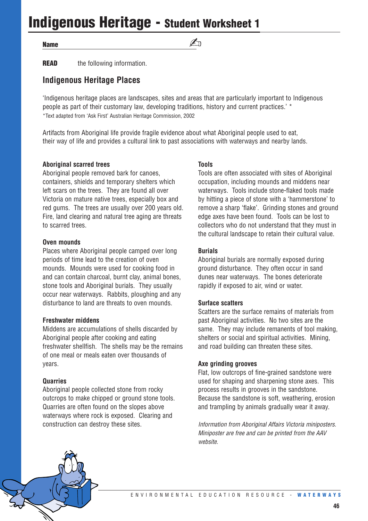## **Indigenous Heritage - Student Worksheet 1**

#### **Name**

### ✍

**READ** the following information.

#### **Indigenous Heritage Places**

'Indigenous heritage places are landscapes, sites and areas that are particularly important to Indigenous people as part of their customary law, developing traditions, history and current practices.' \* \*Text adapted from 'Ask First' Australian Heritage Commission, 2002

Artifacts from Aboriginal life provide fragile evidence about what Aboriginal people used to eat, their way of life and provides a cultural link to past associations with waterways and nearby lands.

#### **Aboriginal scarred trees**

Aboriginal people removed bark for canoes, containers, shields and temporary shelters which left scars on the trees. They are found all over Victoria on mature native trees, especially box and red gums. The trees are usually over 200 years old. Fire, land clearing and natural tree aging are threats to scarred trees.

#### **Oven mounds**

Places where Aboriginal people camped over long periods of time lead to the creation of oven mounds. Mounds were used for cooking food in and can contain charcoal, burnt clay, animal bones, stone tools and Aboriginal burials. They usually occur near waterways. Rabbits, ploughing and any disturbance to land are threats to oven mounds.

#### **Freshwater middens**

Middens are accumulations of shells discarded by Aboriginal people after cooking and eating freshwater shellfish. The shells may be the remains of one meal or meals eaten over thousands of years.

#### **Quarries**

Aboriginal people collected stone from rocky outcrops to make chipped or ground stone tools. Quarries are often found on the slopes above waterways where rock is exposed. Clearing and construction can destroy these sites.

#### **Tools**

Tools are often associated with sites of Aboriginal occupation, including mounds and middens near waterways. Tools include stone-flaked tools made by hitting a piece of stone with a 'hammerstone' to remove a sharp 'flake'. Grinding stones and ground edge axes have been found. Tools can be lost to collectors who do not understand that they must in the cultural landscape to retain their cultural value.

#### **Burials**

Aboriginal burials are normally exposed during ground disturbance. They often occur in sand dunes near waterways. The bones deteriorate rapidly if exposed to air, wind or water.

#### **Surface scatters**

Scatters are the surface remains of materials from past Aboriginal activities. No two sites are the same. They may include remanents of tool making, shelters or social and spiritual activities. Mining, and road building can threaten these sites.

#### **Axe grinding grooves**

Flat, low outcrops of fine-grained sandstone were used for shaping and sharpening stone axes. This process results in grooves in the sandstone. Because the sandstone is soft, weathering, erosion and trampling by animals gradually wear it away.

*Information from Aboriginal Affairs Victoria miniposters. Miniposter are free and can be printed from the AAV website.*

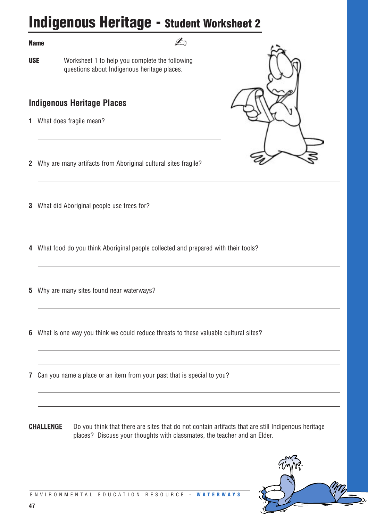## **Indigenous Heritage - Student Worksheet 2**

✍

#### **Name**

**USE** Worksheet 1 to help you complete the following questions about Indigenous heritage places.

#### **Indigenous Heritage Places**

**1** What does fragile mean?



**2** Why are many artifacts from Aboriginal cultural sites fragile?

**3** What did Aboriginal people use trees for?

**4** What food do you think Aboriginal people collected and prepared with their tools?

**5** Why are many sites found near waterways?

**6** What is one way you think we could reduce threats to these valuable cultural sites?

**7** Can you name a place or an item from your past that is special to you?

**CHALLENGE** Do you think that there are sites that do not contain artifacts that are still Indigenous heritage places? Discuss your thoughts with classmates, the teacher and an Elder.

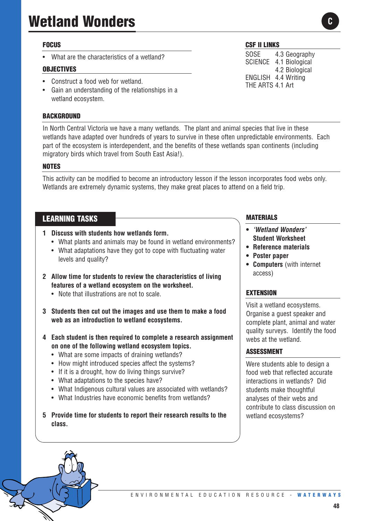## **Wetland Wonders**

#### **FOCUS**

• What are the characteristics of a wetland?

#### **OBJECTIVES**

- Construct a food web for wetland.
- Gain an understanding of the relationships in a wetland ecosystem.

#### **BACKGROUND**

In North Central Victoria we have a many wetlands. The plant and animal species that live in these wetlands have adapted over hundreds of years to survive in these often unpredictable environments. Each part of the ecosystem is interdependent, and the benefits of these wetlands span continents (including migratory birds which travel from South East Asia!).

#### **NOTES**

This activity can be modified to become an introductory lesson if the lesson incorporates food webs only. Wetlands are extremely dynamic systems, they make great places to attend on a field trip.

#### **LEARNING TASKS**

- **1 Discuss with students how wetlands form.**
	- What plants and animals may be found in wetland environments?
	- What adaptations have they got to cope with fluctuating water levels and quality?
- **2 Allow time for students to review the characteristics of living features of a wetland ecosystem on the worksheet.**
	- Note that illustrations are not to scale
- **3 Students then cut out the images and use them to make a food web as an introduction to wetland ecosystems.**
- **4 Each student is then required to complete a research assignment on one of the following wetland ecosystem topics.**
	- What are some impacts of draining wetlands?
	- How might introduced species affect the systems?
	- If it is a drought, how do living things survive?
	- What adaptations to the species have?
	- What Indigenous cultural values are associated with wetlands?
	- What Industries have economic benefits from wetlands?
- **5 Provide time for students to report their research results to the class.**

#### **CSF II LINKS**

SOSE 4.3 Geography SCIENCE 4.1 Biological 4.2 Biological ENGLISH 4.4 Writing THE ARTS 4.1 Art

#### **MATERIALS**

- **•** *'Wetland Wonders'* **Student Worksheet**
- **• Reference materials**
- **• Poster paper**
- **• Computers** (with internet access)

#### **EXTENSION**

Visit a wetland ecosystems. Organise a guest speaker and complete plant, animal and water quality surveys. Identify the food webs at the wetland.

#### **ASSESSMENT**

Were students able to design a food web that reflected accurate interactions in wetlands? Did students make thoughtful analyses of their webs and contribute to class discussion on wetland ecosystems?